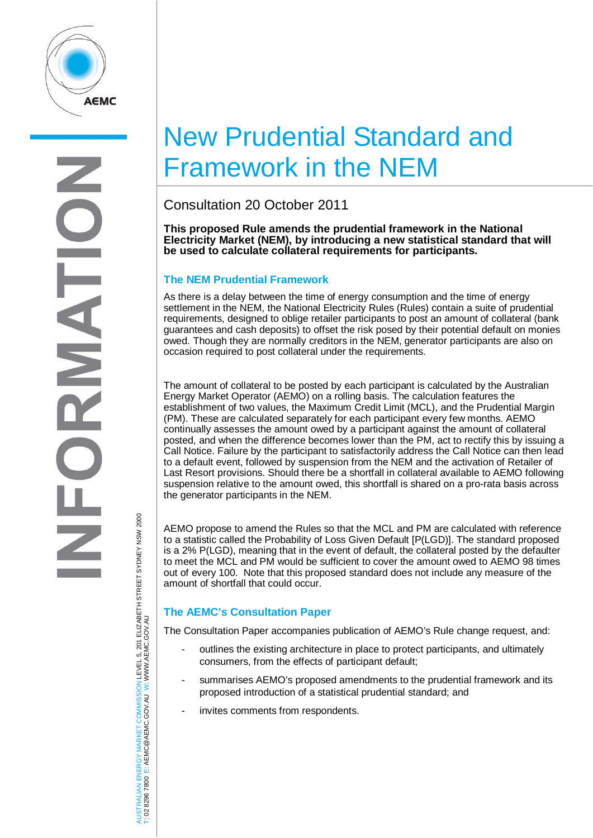

# New Prudential Standard and Framework in the NEM

Consultation 20 October 2011

**This proposed Rule amends the prudential framework in the National Electricity Market (NEM), by introducing a new statistical standard that will be used to calculate collateral requirements for participants.** 

## **The NEM Prudential Framework**

As there is a delay between the time of energy consumption and the time of energy settlement in the NEM, the National Electricity Rules (Rules) contain a suite of prudential requirements, designed to oblige retailer participants to post an amount of collateral (bank guarantees and cash deposits) to offset the risk posed by their potential default on monies owed. Though they are normally creditors in the NEM, generator participants are also on occasion required to post collateral under the requirements.

The amount of collateral to be posted by each participant is calculated by the Australian Energy Market Operator (AEMO) on a rolling basis. The calculation features the establishment of two values, the Maximum Credit Limit (MCL), and the Prudential Margin (PM). These are calculated separately for each participant every few months. AEMO continually assesses the amount owed by a participant against the amount of collateral posted, and when the difference becomes lower than the PM, act to rectify this by issuing a Call Notice. Failure by the participant to satisfactorily address the Call Notice can then lead to a default event, followed by suspension from the NEM and the activation of Retailer of Last Resort provisions. Should there be a shortfall in collateral available to AEMO following suspension relative to the amount owed, this shortfall is shared on a pro-rata basis across the generator participants in the NEM.

AEMO propose to amend the Rules so that the MCL and PM are calculated with reference to a statistic called the Probability of Loss Given Default [P(LGD)]. The standard proposed is a 2% P(LGD), meaning that in the event of default, the collateral posted by the defaulter to meet the MCL and PM would be sufficient to cover the amount owed to AEMO 98 times out of every 100. Note that this proposed standard does not include any measure of the amount of shortfall that could occur.

# **The AEMC's Consultation Paper**

The Consultation Paper accompanies publication of AEMO's Rule change request, and:

- outlines the existing architecture in place to protect participants, and ultimately consumers, from the effects of participant default;
- summarises AEMO's proposed amendments to the prudential framework and its proposed introduction of a statistical prudential standard; and
- invites comments from respondents.

AUSTRALIAN ENERGY MARKET COMMISSION LEVEL 5, 201 ELIZABETH STREET SYDNEY NSW 2000<br>Γ: 02 8296 7800 E: AEMC@AEMC.GOV.AU W: WWW.AEMC.GOV.AU AUSTRALIAN ENERGY MARKET COMMISSION LEVEL 5, 201 ELIZABETH STREET SYDNEY NSW 2000 W: WWW.AEMC.GOV.AU T: 02 8296 7800 E: AEMC@AEMC.GOV.AU